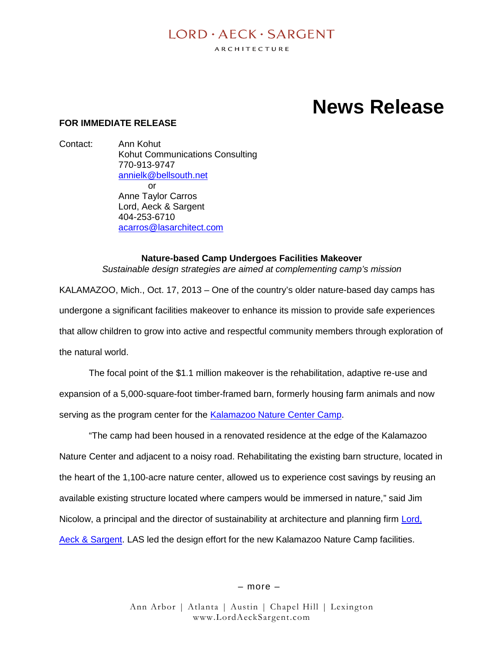# $I$  ORD  $\cdot$  AECK  $\cdot$  SARGENT

ARCHITECTURE

# **News Release**

## **FOR IMMEDIATE RELEASE**

Contact: Ann Kohut Kohut Communications Consulting 770-913-9747 annielk@bellsouth.net or Anne Taylor Carros Lord, Aeck & Sargent 404-253-6710 acarros@lasarchitect.com

# **Nature-based Camp Undergoes Facilities Makeover**

*Sustainable design strategies are aimed at complementing camp's mission*

KALAMAZOO, Mich., Oct. 17, 2013 – One of the country's older nature-based day camps has undergone a significant facilities makeover to enhance its mission to provide safe experiences that allow children to grow into active and respectful community members through exploration of the natural world.

The focal point of the \$1.1 million makeover is the rehabilitation, adaptive re-use and expansion of a 5,000-square-foot timber-framed barn, formerly housing farm animals and now serving as the program center for the Kalamazoo Nature Center Camp.

"The camp had been housed in a renovated residence at the edge of the Kalamazoo Nature Center and adjacent to a noisy road. Rehabilitating the existing barn structure, located in the heart of the 1,100-acre nature center, allowed us to experience cost savings by reusing an available existing structure located where campers would be immersed in nature," said Jim Nicolow, a principal and the director of sustainability at architecture and planning firm Lord, Aeck & Sargent. LAS led the design effort for the new Kalamazoo Nature Camp facilities.

– more –

Ann Arbor | Atlanta | Austin | Chapel Hill | Lexington www.LordAeckSargent.com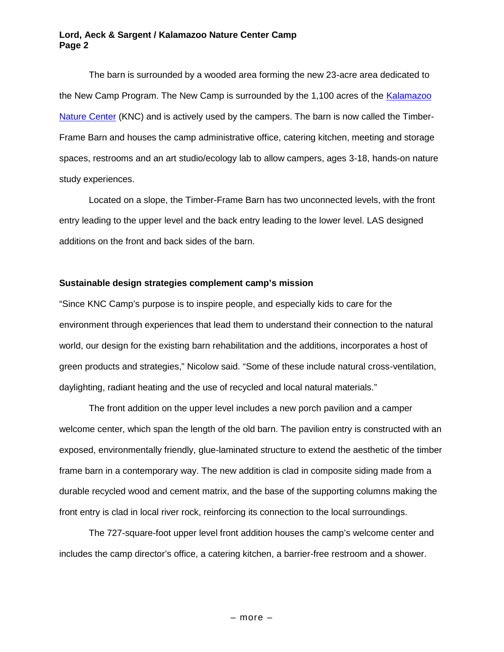#### **Lord, Aeck & Sargent / Kalamazoo Nature Center Camp Page 2**

The barn is surrounded by a wooded area forming the new 23-acre area dedicated to the New Camp Program. The New Camp is surrounded by the 1,100 acres of the Kalamazoo Nature Center (KNC) and is actively used by the campers. The barn is now called the Timber-Frame Barn and houses the camp administrative office, catering kitchen, meeting and storage spaces, restrooms and an art studio/ecology lab to allow campers, ages 3-18, hands-on nature study experiences.

Located on a slope, the Timber-Frame Barn has two unconnected levels, with the front entry leading to the upper level and the back entry leading to the lower level. LAS designed additions on the front and back sides of the barn.

## **Sustainable design strategies complement camp's mission**

"Since KNC Camp's purpose is to inspire people, and especially kids to care for the environment through experiences that lead them to understand their connection to the natural world, our design for the existing barn rehabilitation and the additions, incorporates a host of green products and strategies," Nicolow said. "Some of these include natural cross-ventilation, daylighting, radiant heating and the use of recycled and local natural materials."

The front addition on the upper level includes a new porch pavilion and a camper welcome center, which span the length of the old barn. The pavilion entry is constructed with an exposed, environmentally friendly, glue-laminated structure to extend the aesthetic of the timber frame barn in a contemporary way. The new addition is clad in composite siding made from a durable recycled wood and cement matrix, and the base of the supporting columns making the front entry is clad in local river rock, reinforcing its connection to the local surroundings.

The 727-square-foot upper level front addition houses the camp's welcome center and includes the camp director's office, a catering kitchen, a barrier-free restroom and a shower.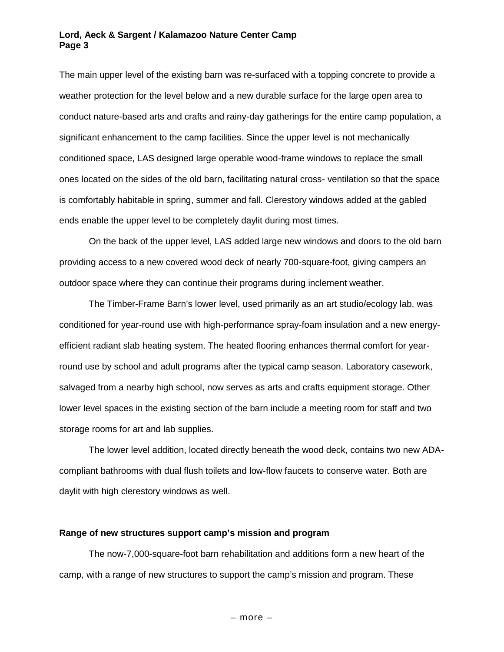#### **Lord, Aeck & Sargent / Kalamazoo Nature Center Camp Page 3**

The main upper level of the existing barn was re-surfaced with a topping concrete to provide a weather protection for the level below and a new durable surface for the large open area to conduct nature-based arts and crafts and rainy-day gatherings for the entire camp population, a significant enhancement to the camp facilities. Since the upper level is not mechanically conditioned space, LAS designed large operable wood-frame windows to replace the small ones located on the sides of the old barn, facilitating natural cross- ventilation so that the space is comfortably habitable in spring, summer and fall. Clerestory windows added at the gabled ends enable the upper level to be completely daylit during most times.

On the back of the upper level, LAS added large new windows and doors to the old barn providing access to a new covered wood deck of nearly 700-square-foot, giving campers an outdoor space where they can continue their programs during inclement weather.

The Timber-Frame Barn's lower level, used primarily as an art studio/ecology lab, was conditioned for year-round use with high-performance spray-foam insulation and a new energyefficient radiant slab heating system. The heated flooring enhances thermal comfort for yearround use by school and adult programs after the typical camp season. Laboratory casework, salvaged from a nearby high school, now serves as arts and crafts equipment storage. Other lower level spaces in the existing section of the barn include a meeting room for staff and two storage rooms for art and lab supplies.

The lower level addition, located directly beneath the wood deck, contains two new ADAcompliant bathrooms with dual flush toilets and low-flow faucets to conserve water. Both are daylit with high clerestory windows as well.

#### **Range of new structures support camp's mission and program**

The now-7,000-square-foot barn rehabilitation and additions form a new heart of the camp, with a range of new structures to support the camp's mission and program. These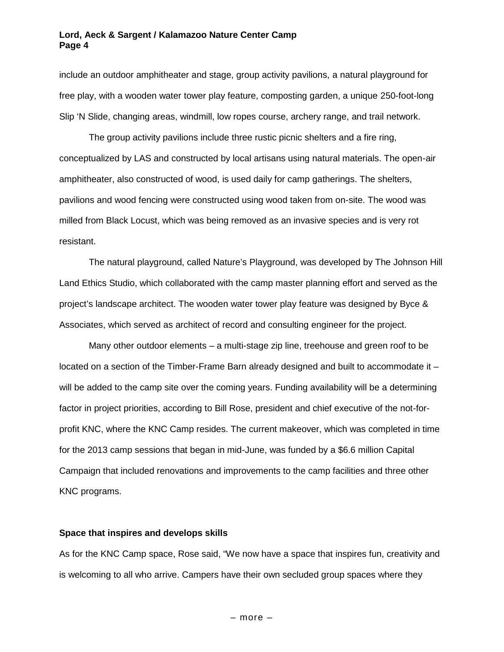#### **Lord, Aeck & Sargent / Kalamazoo Nature Center Camp Page 4**

include an outdoor amphitheater and stage, group activity pavilions, a natural playground for free play, with a wooden water tower play feature, composting garden, a unique 250-foot-long Slip 'N Slide, changing areas, windmill, low ropes course, archery range, and trail network.

The group activity pavilions include three rustic picnic shelters and a fire ring, conceptualized by LAS and constructed by local artisans using natural materials. The open-air amphitheater, also constructed of wood, is used daily for camp gatherings. The shelters, pavilions and wood fencing were constructed using wood taken from on-site. The wood was milled from Black Locust, which was being removed as an invasive species and is very rot resistant.

The natural playground, called Nature's Playground, was developed by The Johnson Hill Land Ethics Studio, which collaborated with the camp master planning effort and served as the project's landscape architect. The wooden water tower play feature was designed by Byce & Associates, which served as architect of record and consulting engineer for the project.

Many other outdoor elements – a multi-stage zip line, treehouse and green roof to be located on a section of the Timber-Frame Barn already designed and built to accommodate it – will be added to the camp site over the coming years. Funding availability will be a determining factor in project priorities, according to Bill Rose, president and chief executive of the not-forprofit KNC, where the KNC Camp resides. The current makeover, which was completed in time for the 2013 camp sessions that began in mid-June, was funded by a \$6.6 million Capital Campaign that included renovations and improvements to the camp facilities and three other KNC programs.

#### **Space that inspires and develops skills**

As for the KNC Camp space, Rose said, "We now have a space that inspires fun, creativity and is welcoming to all who arrive. Campers have their own secluded group spaces where they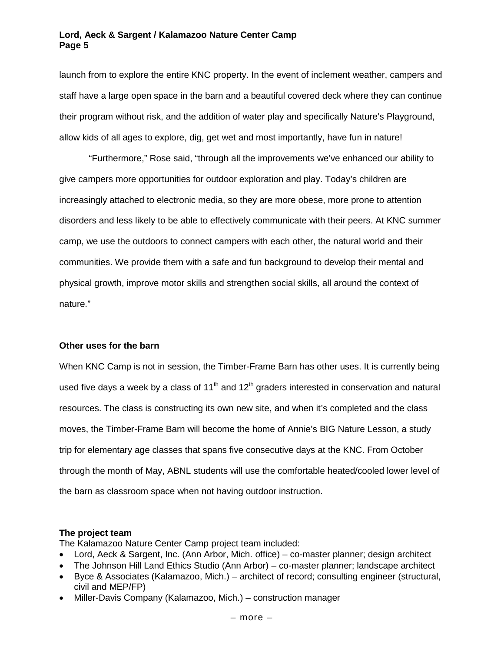launch from to explore the entire KNC property. In the event of inclement weather, campers and staff have a large open space in the barn and a beautiful covered deck where they can continue their program without risk, and the addition of water play and specifically Nature's Playground, allow kids of all ages to explore, dig, get wet and most importantly, have fun in nature!

"Furthermore," Rose said, "through all the improvements we've enhanced our ability to give campers more opportunities for outdoor exploration and play. Today's children are increasingly attached to electronic media, so they are more obese, more prone to attention disorders and less likely to be able to effectively communicate with their peers. At KNC summer camp, we use the outdoors to connect campers with each other, the natural world and their communities. We provide them with a safe and fun background to develop their mental and physical growth, improve motor skills and strengthen social skills, all around the context of nature."

#### **Other uses for the barn**

When KNC Camp is not in session, the Timber-Frame Barn has other uses. It is currently being used five days a week by a class of 11<sup>th</sup> and 12<sup>th</sup> graders interested in conservation and natural resources. The class is constructing its own new site, and when it's completed and the class moves, the Timber-Frame Barn will become the home of Annie's BIG Nature Lesson, a study trip for elementary age classes that spans five consecutive days at the KNC. From October through the month of May, ABNL students will use the comfortable heated/cooled lower level of the barn as classroom space when not having outdoor instruction.

# **The project team**

The Kalamazoo Nature Center Camp project team included:

- Lord, Aeck & Sargent, Inc. (Ann Arbor, Mich. office) co-master planner; design architect
- The Johnson Hill Land Ethics Studio (Ann Arbor) co-master planner; landscape architect
- Byce & Associates (Kalamazoo, Mich.) architect of record; consulting engineer (structural, civil and MEP/FP)
- Miller-Davis Company (Kalamazoo, Mich.) construction manager